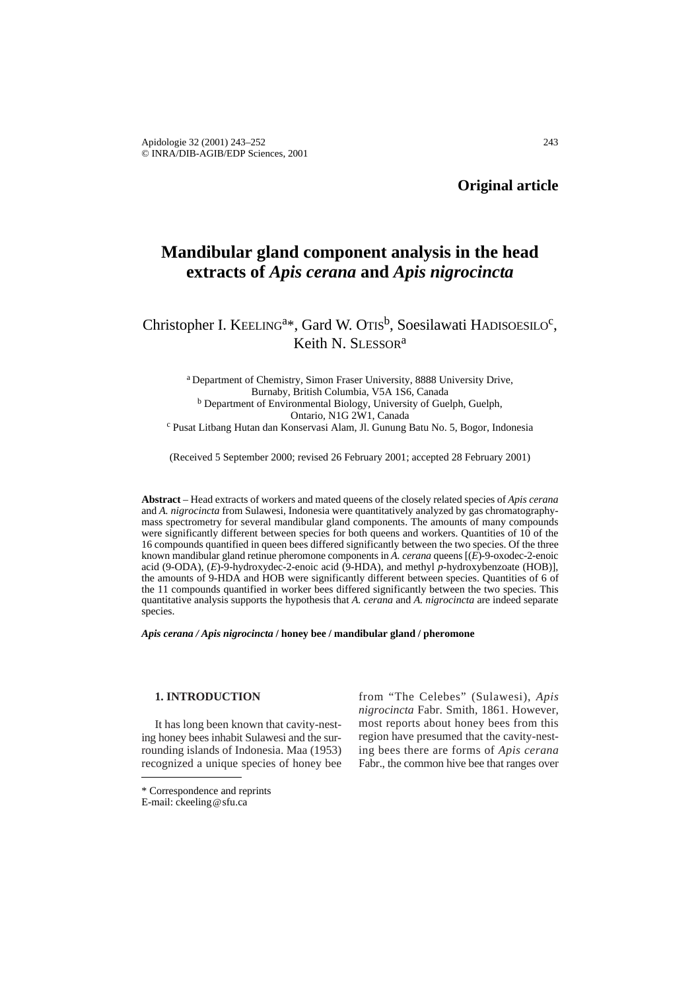**Original article**

# **Mandibular gland component analysis in the head extracts of** *Apis cerana* **and** *Apis nigrocincta*

Christopher I. KEELING<sup>a\*</sup>, Gard W. OTIS<sup>b</sup>, Soesilawati HADISOESILO<sup>c</sup>, Keith N. SLESSOR<sup>a</sup>

a Department of Chemistry, Simon Fraser University, 8888 University Drive, Burnaby, British Columbia, V5A 1S6, Canada <sup>b</sup> Department of Environmental Biology, University of Guelph, Guelph, Ontario, N1G 2W1, Canada <sup>c</sup> Pusat Litbang Hutan dan Konservasi Alam, Jl. Gunung Batu No. 5, Bogor, Indonesia

(Received 5 September 2000; revised 26 February 2001; accepted 28 February 2001)

**Abstract** – Head extracts of workers and mated queens of the closely related species of *Apis cerana* and *A. nigrocincta* from Sulawesi, Indonesia were quantitatively analyzed by gas chromatographymass spectrometry for several mandibular gland components. The amounts of many compounds were significantly different between species for both queens and workers. Quantities of 10 of the 16 compounds quantified in queen bees differed significantly between the two species. Of the three known mandibular gland retinue pheromone components in *A. cerana* queens [(*E*)-9-oxodec-2-enoic acid (9-ODA), (*E*)-9-hydroxydec-2-enoic acid (9-HDA), and methyl *p*-hydroxybenzoate (HOB)], the amounts of 9-HDA and HOB were significantly different between species. Quantities of 6 of the 11 compounds quantified in worker bees differed significantly between the two species. This quantitative analysis supports the hypothesis that *A. cerana* and *A. nigrocincta* are indeed separate species.

*Apis cerana / Apis nigrocincta* **/ honey bee / mandibular gland / pheromone**

# **1. INTRODUCTION**

It has long been known that cavity-nesting honey bees inhabit Sulawesi and the surrounding islands of Indonesia. Maa (1953) recognized a unique species of honey bee

from "The Celebes" (Sulawesi), *Apis nigrocincta* Fabr. Smith, 1861. However, most reports about honey bees from this region have presumed that the cavity-nesting bees there are forms of *Apis cerana* Fabr., the common hive bee that ranges over

<sup>\*</sup> Correspondence and reprints E-mail: ckeeling@sfu.ca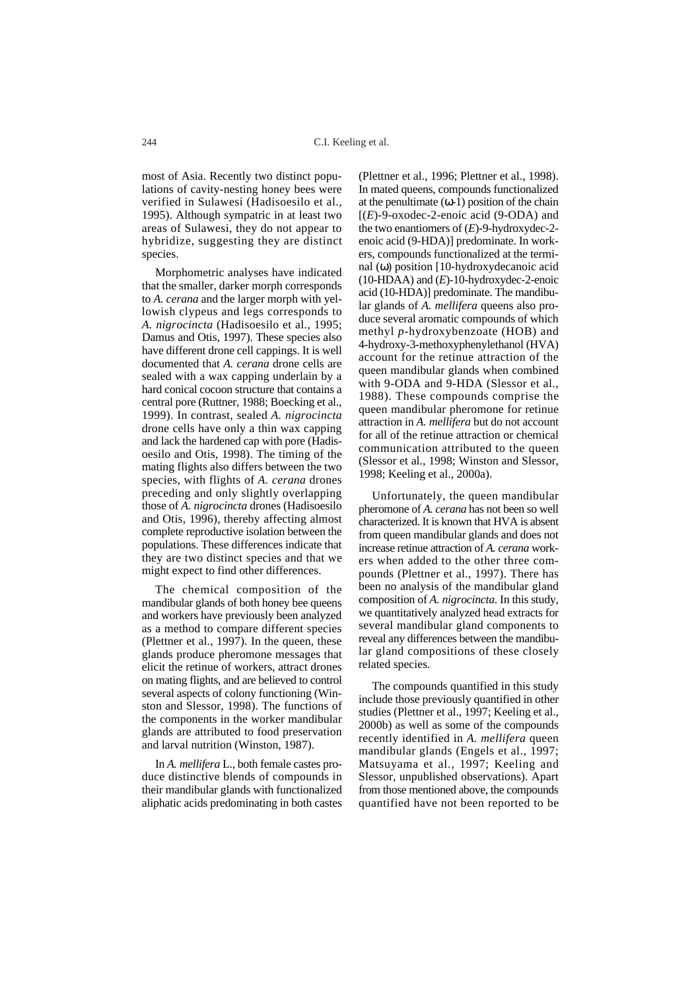most of Asia. Recently two distinct populations of cavity-nesting honey bees were verified in Sulawesi (Hadisoesilo et al., 1995). Although sympatric in at least two areas of Sulawesi, they do not appear to hybridize, suggesting they are distinct species.

Morphometric analyses have indicated that the smaller, darker morph corresponds to *A. cerana* and the larger morph with yellowish clypeus and legs corresponds to *A. nigrocincta* (Hadisoesilo et al., 1995; Damus and Otis, 1997). These species also have different drone cell cappings. It is well documented that *A. cerana* drone cells are sealed with a wax capping underlain by a hard conical cocoon structure that contains a central pore (Ruttner, 1988; Boecking et al., 1999). In contrast, sealed *A. nigrocincta* drone cells have only a thin wax capping and lack the hardened cap with pore (Hadisoesilo and Otis, 1998). The timing of the mating flights also differs between the two species, with flights of *A. cerana* drones preceding and only slightly overlapping those of *A. nigrocincta* drones (Hadisoesilo and Otis, 1996), thereby affecting almost complete reproductive isolation between the populations. These differences indicate that they are two distinct species and that we might expect to find other differences.

The chemical composition of the mandibular glands of both honey bee queens and workers have previously been analyzed as a method to compare different species (Plettner et al., 1997). In the queen, these glands produce pheromone messages that elicit the retinue of workers, attract drones on mating flights, and are believed to control several aspects of colony functioning (Winston and Slessor, 1998). The functions of the components in the worker mandibular glands are attributed to food preservation and larval nutrition (Winston, 1987).

In *A. mellifera* L., both female castes produce distinctive blends of compounds in their mandibular glands with functionalized aliphatic acids predominating in both castes

(Plettner et al., 1996; Plettner et al., 1998). In mated queens, compounds functionalized at the penultimate  $(ω-1)$  position of the chain  $[(E)$ -9-oxodec-2-enoic acid (9-ODA) and the two enantiomers of (*E*)-9-hydroxydec-2 enoic acid (9-HDA)] predominate. In workers, compounds functionalized at the terminal (ω) position [10-hydroxydecanoic acid (10-HDAA) and (*E*)-10-hydroxydec-2-enoic acid (10-HDA)] predominate. The mandibular glands of *A. mellifera* queens also produce several aromatic compounds of which methyl *p*-hydroxybenzoate (HOB) and 4-hydroxy-3-methoxyphenylethanol (HVA) account for the retinue attraction of the queen mandibular glands when combined with 9-ODA and 9-HDA (Slessor et al., 1988). These compounds comprise the queen mandibular pheromone for retinue attraction in *A. mellifera* but do not account for all of the retinue attraction or chemical communication attributed to the queen (Slessor et al., 1998; Winston and Slessor, 1998; Keeling et al., 2000a).

Unfortunately, the queen mandibular pheromone of *A. cerana* has not been so well characterized. It is known that HVA is absent from queen mandibular glands and does not increase retinue attraction of *A. cerana* workers when added to the other three compounds (Plettner et al., 1997). There has been no analysis of the mandibular gland composition of *A. nigrocincta*. In this study, we quantitatively analyzed head extracts for several mandibular gland components to reveal any differences between the mandibular gland compositions of these closely related species.

The compounds quantified in this study include those previously quantified in other studies (Plettner et al., 1997; Keeling et al., 2000b) as well as some of the compounds recently identified in *A. mellifera* queen mandibular glands (Engels et al., 1997; Matsuyama et al., 1997; Keeling and Slessor, unpublished observations). Apart from those mentioned above, the compounds quantified have not been reported to be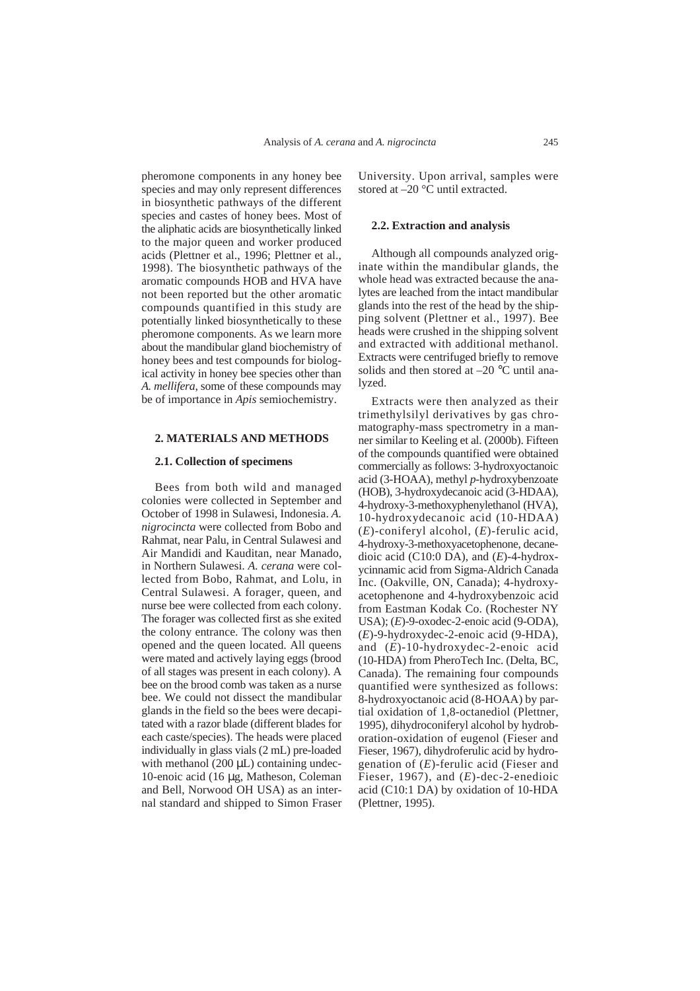pheromone components in any honey bee species and may only represent differences in biosynthetic pathways of the different species and castes of honey bees. Most of the aliphatic acids are biosynthetically linked to the major queen and worker produced acids (Plettner et al., 1996; Plettner et al., 1998). The biosynthetic pathways of the aromatic compounds HOB and HVA have not been reported but the other aromatic compounds quantified in this study are potentially linked biosynthetically to these pheromone components. As we learn more about the mandibular gland biochemistry of honey bees and test compounds for biological activity in honey bee species other than *A. mellifera*, some of these compounds may be of importance in *Apis* semiochemistry.

## **2. MATERIALS AND METHODS**

### **2.1. Collection of specimens**

Bees from both wild and managed colonies were collected in September and October of 1998 in Sulawesi, Indonesia. *A. nigrocincta* were collected from Bobo and Rahmat, near Palu, in Central Sulawesi and Air Mandidi and Kauditan, near Manado, in Northern Sulawesi. *A. cerana* were collected from Bobo, Rahmat, and Lolu, in Central Sulawesi. A forager, queen, and nurse bee were collected from each colony. The forager was collected first as she exited the colony entrance. The colony was then opened and the queen located. All queens were mated and actively laying eggs (brood of all stages was present in each colony). A bee on the brood comb was taken as a nurse bee. We could not dissect the mandibular glands in the field so the bees were decapitated with a razor blade (different blades for each caste/species). The heads were placed individually in glass vials (2 mL) pre-loaded with methanol  $(200 \mu L)$  containing undec-10-enoic acid (16 µg, Matheson, Coleman and Bell, Norwood OH USA) as an internal standard and shipped to Simon Fraser

University. Upon arrival, samples were stored at –20 °C until extracted.

# **2.2. Extraction and analysis**

Although all compounds analyzed originate within the mandibular glands, the whole head was extracted because the analytes are leached from the intact mandibular glands into the rest of the head by the shipping solvent (Plettner et al., 1997). Bee heads were crushed in the shipping solvent and extracted with additional methanol. Extracts were centrifuged briefly to remove solids and then stored at  $-20$  °C until analyzed.

Extracts were then analyzed as their trimethylsilyl derivatives by gas chromatography-mass spectrometry in a manner similar to Keeling et al. (2000b). Fifteen of the compounds quantified were obtained commercially as follows: 3-hydroxyoctanoic acid (3-HOAA), methyl *p*-hydroxybenzoate (HOB), 3-hydroxydecanoic acid (3-HDAA), 4-hydroxy-3-methoxyphenylethanol (HVA), 10-hydroxydecanoic acid (10-HDAA) (*E*)-coniferyl alcohol, (*E*)-ferulic acid, 4-hydroxy-3-methoxyacetophenone, decanedioic acid (C10:0 DA), and (*E*)-4-hydroxycinnamic acid from Sigma-Aldrich Canada Inc. (Oakville, ON, Canada); 4-hydroxyacetophenone and 4-hydroxybenzoic acid from Eastman Kodak Co. (Rochester NY USA); (*E*)-9-oxodec-2-enoic acid (9-ODA), (*E*)-9-hydroxydec-2-enoic acid (9-HDA), and (*E*)-10-hydroxydec-2-enoic acid (10-HDA) from PheroTech Inc. (Delta, BC, Canada). The remaining four compounds quantified were synthesized as follows: 8-hydroxyoctanoic acid (8-HOAA) by partial oxidation of 1,8-octanediol (Plettner, 1995), dihydroconiferyl alcohol by hydroboration-oxidation of eugenol (Fieser and Fieser, 1967), dihydroferulic acid by hydrogenation of (*E*)-ferulic acid (Fieser and Fieser, 1967), and (*E*)-dec-2-enedioic acid (C10:1 DA) by oxidation of 10-HDA (Plettner, 1995).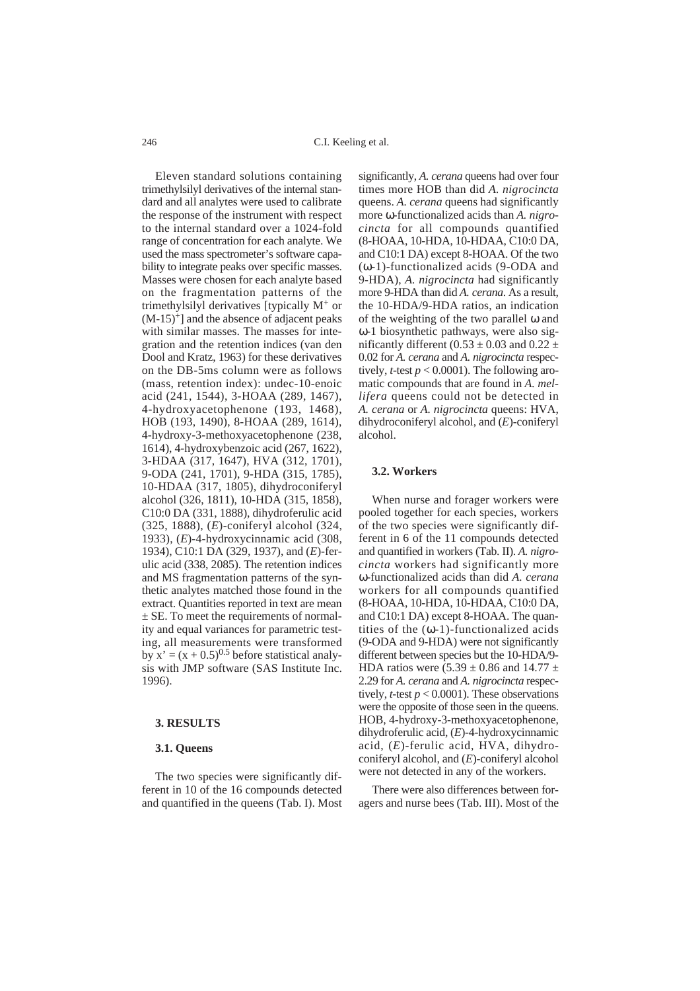C.I. Keeling et al.

Eleven standard solutions containing trimethylsilyl derivatives of the internal standard and all analytes were used to calibrate the response of the instrument with respect to the internal standard over a 1024-fold range of concentration for each analyte. We used the mass spectrometer's software capability to integrate peaks over specific masses. Masses were chosen for each analyte based on the fragmentation patterns of the trimethylsilyl derivatives [typically M<sup>+</sup> or  $(M-15)^+$ ] and the absence of adjacent peaks with similar masses. The masses for integration and the retention indices (van den Dool and Kratz, 1963) for these derivatives on the DB-5ms column were as follows (mass, retention index): undec-10-enoic acid (241, 1544), 3-HOAA (289, 1467), 4-hydroxyacetophenone (193, 1468), HOB (193, 1490), 8-HOAA (289, 1614), 4-hydroxy-3-methoxyacetophenone (238, 1614), 4-hydroxybenzoic acid (267, 1622), 3-HDAA (317, 1647), HVA (312, 1701), 9-ODA (241, 1701), 9-HDA (315, 1785), 10-HDAA (317, 1805), dihydroconiferyl alcohol (326, 1811), 10-HDA (315, 1858), C10:0 DA (331, 1888), dihydroferulic acid (325, 1888), (*E*)-coniferyl alcohol (324, 1933), (*E*)-4-hydroxycinnamic acid (308, 1934), C10:1 DA (329, 1937), and (*E*)-ferulic acid (338, 2085). The retention indices and MS fragmentation patterns of the synthetic analytes matched those found in the extract. Quantities reported in text are mean  $\pm$  SE. To meet the requirements of normality and equal variances for parametric testing, all measurements were transformed by  $x' = (x + 0.5)^{0.5}$  before statistical analysis with JMP software (SAS Institute Inc. 1996).

# **3. RESULTS**

#### **3.1. Queens**

The two species were significantly different in 10 of the 16 compounds detected and quantified in the queens (Tab. I). Most

significantly, *A. cerana* queens had over four times more HOB than did *A. nigrocincta* queens. *A. cerana* queens had significantly more ω-functionalized acids than *A. nigrocincta* for all compounds quantified (8-HOAA, 10-HDA, 10-HDAA, C10:0 DA, and C10:1 DA) except 8-HOAA. Of the two (ω-1)-functionalized acids (9-ODA and 9-HDA), *A. nigrocincta* had significantly more 9-HDA than did *A. cerana*. As a result, the 10-HDA/9-HDA ratios, an indication of the weighting of the two parallel ω and ω-1 biosynthetic pathways, were also significantly different (0.53  $\pm$  0.03 and 0.22  $\pm$ 0.02 for *A. cerana* and *A. nigrocincta* respectively, *t*-test  $p < 0.0001$ ). The following aromatic compounds that are found in *A. mellifera* queens could not be detected in *A. cerana* or *A. nigrocincta* queens: HVA, dihydroconiferyl alcohol, and (*E*)-coniferyl alcohol.

# **3.2. Workers**

When nurse and forager workers were pooled together for each species, workers of the two species were significantly different in 6 of the 11 compounds detected and quantified in workers (Tab. II). *A. nigrocincta* workers had significantly more ω-functionalized acids than did *A. cerana* workers for all compounds quantified (8-HOAA, 10-HDA, 10-HDAA, C10:0 DA, and C10:1 DA) except 8-HOAA. The quantities of the  $(\omega-1)$ -functionalized acids (9-ODA and 9-HDA) were not significantly different between species but the 10-HDA/9- HDA ratios were  $(5.39 \pm 0.86$  and  $14.77 \pm$ 2.29 for *A. cerana* and *A. nigrocincta* respectively, *t*-test  $p < 0.0001$ ). These observations were the opposite of those seen in the queens. HOB, 4-hydroxy-3-methoxyacetophenone, dihydroferulic acid, (*E*)-4-hydroxycinnamic acid, (*E*)-ferulic acid, HVA, dihydroconiferyl alcohol, and (*E*)-coniferyl alcohol were not detected in any of the workers.

There were also differences between foragers and nurse bees (Tab. III). Most of the

246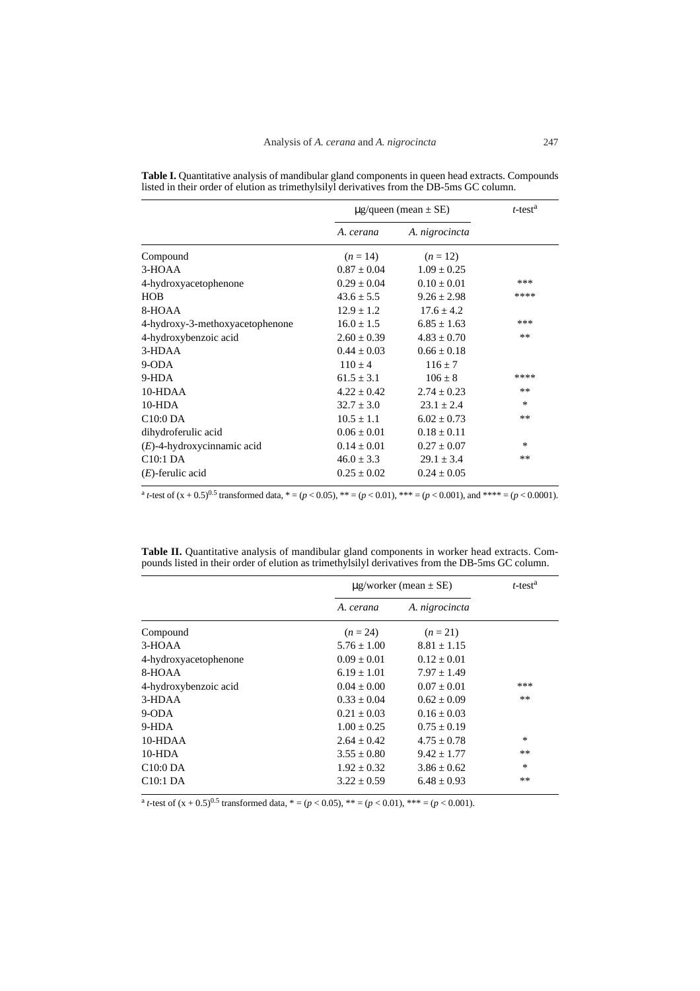|                                 | $\mu$ g/queen (mean $\pm$ SE) |                 | $t$ -test <sup>a</sup> |
|---------------------------------|-------------------------------|-----------------|------------------------|
|                                 | A. cerana                     | A. nigrocincta  |                        |
| Compound                        | $(n=14)$                      | $(n=12)$        |                        |
| 3-HOAA                          | $0.87 \pm 0.04$               | $1.09 \pm 0.25$ |                        |
| 4-hydroxyacetophenone           | $0.29 \pm 0.04$               | $0.10 \pm 0.01$ | ***                    |
| <b>HOB</b>                      | $43.6 \pm 5.5$                | $9.26 \pm 2.98$ | ****                   |
| 8-HOAA                          | $12.9 \pm 1.2$                | $17.6 \pm 4.2$  |                        |
| 4-hydroxy-3-methoxyacetophenone | $16.0 \pm 1.5$                | $6.85 \pm 1.63$ | ***                    |
| 4-hydroxybenzoic acid           | $2.60 \pm 0.39$               | $4.83 \pm 0.70$ | $**$                   |
| 3-HDAA                          | $0.44 \pm 0.03$               | $0.66 \pm 0.18$ |                        |
| $9-ODA$                         | $110 \pm 4$                   | $116 \pm 7$     |                        |
| 9-HDA                           | $61.5 \pm 3.1$                | $106 \pm 8$     | ****                   |
| 10-HDAA                         | $4.22 \pm 0.42$               | $2.74 \pm 0.23$ | $**$                   |
| $10-HDA$                        | $32.7 \pm 3.0$                | $23.1 + 2.4$    | $\ast$                 |
| C10:0 <sub>D</sub> A            | $10.5 \pm 1.1$                | $6.02 \pm 0.73$ | $***$                  |
| dihydroferulic acid             | $0.06 \pm 0.01$               | $0.18 + 0.11$   |                        |
| $(E)$ -4-hydroxycinnamic acid   | $0.14 \pm 0.01$               | $0.27 \pm 0.07$ | *                      |
| C10:1 <sub>DA</sub>             | $46.0 \pm 3.3$                | $29.1 \pm 3.4$  | $***$                  |
| $(E)$ -ferulic acid             | $0.25 \pm 0.02$               | $0.24 \pm 0.05$ |                        |

**Table I.** Quantitative analysis of mandibular gland components in queen head extracts. Compounds listed in their order of elution as trimethylsilyl derivatives from the DB-5ms GC column.

 $a_t$ -test of  $(x + 0.5)^{0.5}$  transformed data,  $a_t = (p < 0.05)$ ,  $a_t = (p < 0.01)$ ,  $a_t = (p < 0.001)$ , and  $a_t = (p < 0.0001)$ .

**Table II.** Quantitative analysis of mandibular gland components in worker head extracts. Compounds listed in their order of elution as trimethylsilyl derivatives from the DB-5ms GC column.

|                       | $\mu$ g/worker (mean $\pm$ SE) |                 | $t$ -test <sup>a</sup> |
|-----------------------|--------------------------------|-----------------|------------------------|
|                       | A. cerana                      | A. nigrocincta  |                        |
| Compound              | $(n=24)$                       | $(n=21)$        |                        |
| 3-HOAA                | $5.76 + 1.00$                  | $8.81 + 1.15$   |                        |
| 4-hydroxyacetophenone | $0.09 \pm 0.01$                | $0.12 \pm 0.01$ |                        |
| 8-HOAA                | $6.19 + 1.01$                  | $7.97 + 1.49$   |                        |
| 4-hydroxybenzoic acid | $0.04 + 0.00$                  | $0.07 \pm 0.01$ | ***                    |
| $3-HDAA$              | $0.33 \pm 0.04$                | $0.62 \pm 0.09$ | $**$                   |
| $9-ODA$               | $0.21 + 0.03$                  | $0.16 + 0.03$   |                        |
| 9-HDA                 | $1.00 + 0.25$                  | $0.75 + 0.19$   |                        |
| $10-HDAA$             | $2.64 + 0.42$                  | $4.75 + 0.78$   | *                      |
| 10-HDA                | $3.55 \pm 0.80$                | $9.42 \pm 1.77$ | $***$                  |
| C10:0 <sub>D</sub> A  | $1.92 + 0.32$                  | $3.86 + 0.62$   | $\ast$                 |
| C <sub>10</sub> :1 DA | $3.22 \pm 0.59$                | $6.48 \pm 0.93$ | $***$                  |

 $a$ <sub>t</sub>-test of  $(x + 0.5)^{0.5}$  transformed data,  $* = (p < 0.05)$ ,  $** = (p < 0.01)$ ,  $*** = (p < 0.001)$ .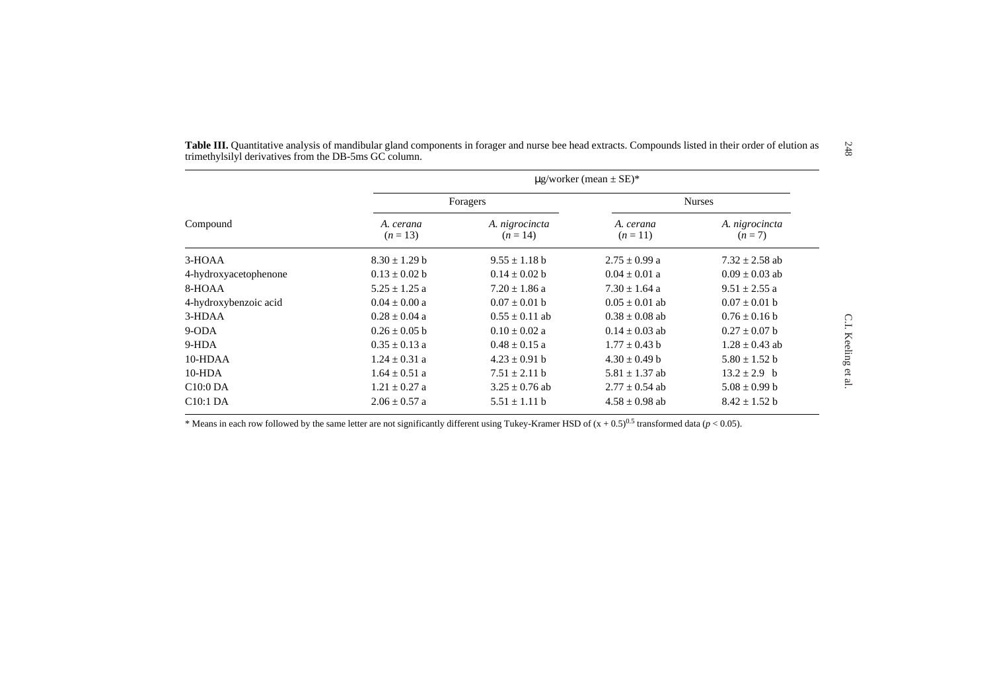| Compound              | $\mu$ g/worker (mean $\pm$ SE)* |                            |                       |                           |  |
|-----------------------|---------------------------------|----------------------------|-----------------------|---------------------------|--|
|                       | Foragers                        |                            | <b>Nurses</b>         |                           |  |
|                       | A. cerana<br>$(n=13)$           | A. nigrocincta<br>$(n=14)$ | A. cerana<br>$(n=11)$ | A. nigrocincta<br>$(n=7)$ |  |
| 3-HOAA                | $8.30 \pm 1.29$ b               | $9.55 \pm 1.18$ b          | $2.75 \pm 0.99$ a     | $7.32 \pm 2.58$ ab        |  |
| 4-hydroxyacetophenone | $0.13 \pm 0.02$ b               | $0.14 \pm 0.02$ b          | $0.04 \pm 0.01$ a     | $0.09 \pm 0.03$ ab        |  |
| 8-HOAA                | $5.25 \pm 1.25$ a               | $7.20 \pm 1.86$ a          | $7.30 \pm 1.64$ a     | $9.51 \pm 2.55$ a         |  |
| 4-hydroxybenzoic acid | $0.04 \pm 0.00 a$               | $0.07 \pm 0.01$ b          | $0.05 \pm 0.01$ ab    | $0.07 \pm 0.01$ b         |  |
| 3-HDAA                | $0.28 \pm 0.04$ a               | $0.55 \pm 0.11$ ab         | $0.38 \pm 0.08$ ab    | $0.76 + 0.16$ b           |  |
| $9-ODA$               | $0.26 \pm 0.05$ b               | $0.10 \pm 0.02$ a          | $0.14 \pm 0.03$ ab    | $0.27 \pm 0.07$ b         |  |
| 9-HDA                 | $0.35 \pm 0.13$ a               | $0.48 \pm 0.15$ a          | $1.77 \pm 0.43$ b     | $1.28 \pm 0.43$ ab        |  |
| 10-HDAA               | $1.24 \pm 0.31$ a               | $4.23 \pm 0.91$ b          | $4.30 \pm 0.49$ b     | $5.80 \pm 1.52 b$         |  |
| $10-HDA$              | $1.64 \pm 0.51$ a               | $7.51 \pm 2.11$ b          | $5.81 \pm 1.37$ ab    | $13.2 \pm 2.9$ b          |  |
| C10:0DA               | $1.21 \pm 0.27$ a               | $3.25 \pm 0.76$ ab         | $2.77 \pm 0.54$ ab    | $5.08 \pm 0.99 b$         |  |
| C10:1DA               | $2.06 \pm 0.57$ a               | $5.51 \pm 1.11 b$          | $4.58 \pm 0.98$ ab    | $8.42 \pm 1.52 b$         |  |

\* Means in each row followed by the same letter are not significantly different using Tukey-Kramer HSD of  $(x + 0.5)^{0.5}$  transformed data ( $p < 0.05$ ).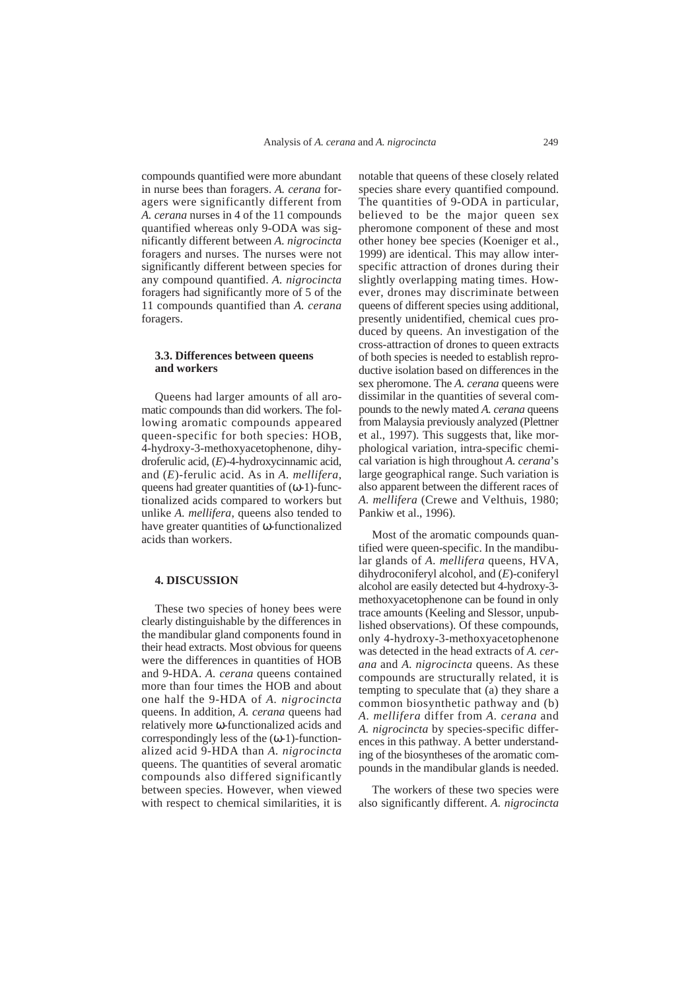compounds quantified were more abundant in nurse bees than foragers. *A. cerana* foragers were significantly different from *A. cerana* nurses in 4 of the 11 compounds quantified whereas only 9-ODA was significantly different between *A. nigrocincta* foragers and nurses. The nurses were not significantly different between species for any compound quantified. *A. nigrocincta* foragers had significantly more of 5 of the 11 compounds quantified than *A. cerana* foragers.

# **3.3. Differences between queens and workers**

Queens had larger amounts of all aromatic compounds than did workers. The following aromatic compounds appeared queen-specific for both species: HOB, 4-hydroxy-3-methoxyacetophenone, dihydroferulic acid, (*E*)-4-hydroxycinnamic acid, and (*E*)-ferulic acid. As in *A. mellifera*, queens had greater quantities of  $(\omega-1)$ -functionalized acids compared to workers but unlike *A. mellifera*, queens also tended to have greater quantities of ω-functionalized acids than workers.

## **4. DISCUSSION**

These two species of honey bees were clearly distinguishable by the differences in the mandibular gland components found in their head extracts. Most obvious for queens were the differences in quantities of HOB and 9-HDA. *A. cerana* queens contained more than four times the HOB and about one half the 9-HDA of *A. nigrocincta* queens. In addition, *A. cerana* queens had relatively more ω-functionalized acids and correspondingly less of the  $(\omega-1)$ -functionalized acid 9-HDA than *A. nigrocincta* queens. The quantities of several aromatic compounds also differed significantly between species. However, when viewed with respect to chemical similarities, it is

notable that queens of these closely related species share every quantified compound. The quantities of 9-ODA in particular, believed to be the major queen sex pheromone component of these and most other honey bee species (Koeniger et al., 1999) are identical. This may allow interspecific attraction of drones during their slightly overlapping mating times. However, drones may discriminate between queens of different species using additional, presently unidentified, chemical cues produced by queens. An investigation of the cross-attraction of drones to queen extracts of both species is needed to establish reproductive isolation based on differences in the sex pheromone. The *A. cerana* queens were dissimilar in the quantities of several compounds to the newly mated *A. cerana* queens from Malaysia previously analyzed (Plettner et al., 1997). This suggests that, like morphological variation, intra-specific chemical variation is high throughout *A. cerana*'s large geographical range. Such variation is also apparent between the different races of *A. mellifera* (Crewe and Velthuis, 1980; Pankiw et al., 1996).

Most of the aromatic compounds quantified were queen-specific. In the mandibular glands of *A. mellifera* queens, HVA, dihydroconiferyl alcohol, and (*E*)-coniferyl alcohol are easily detected but 4-hydroxy-3 methoxyacetophenone can be found in only trace amounts (Keeling and Slessor, unpublished observations). Of these compounds, only 4-hydroxy-3-methoxyacetophenone was detected in the head extracts of *A. cerana* and *A. nigrocincta* queens. As these compounds are structurally related, it is tempting to speculate that (a) they share a common biosynthetic pathway and (b) *A. mellifera* differ from *A. cerana* and *A. nigrocincta* by species-specific differences in this pathway. A better understanding of the biosyntheses of the aromatic compounds in the mandibular glands is needed.

The workers of these two species were also significantly different. *A. nigrocincta*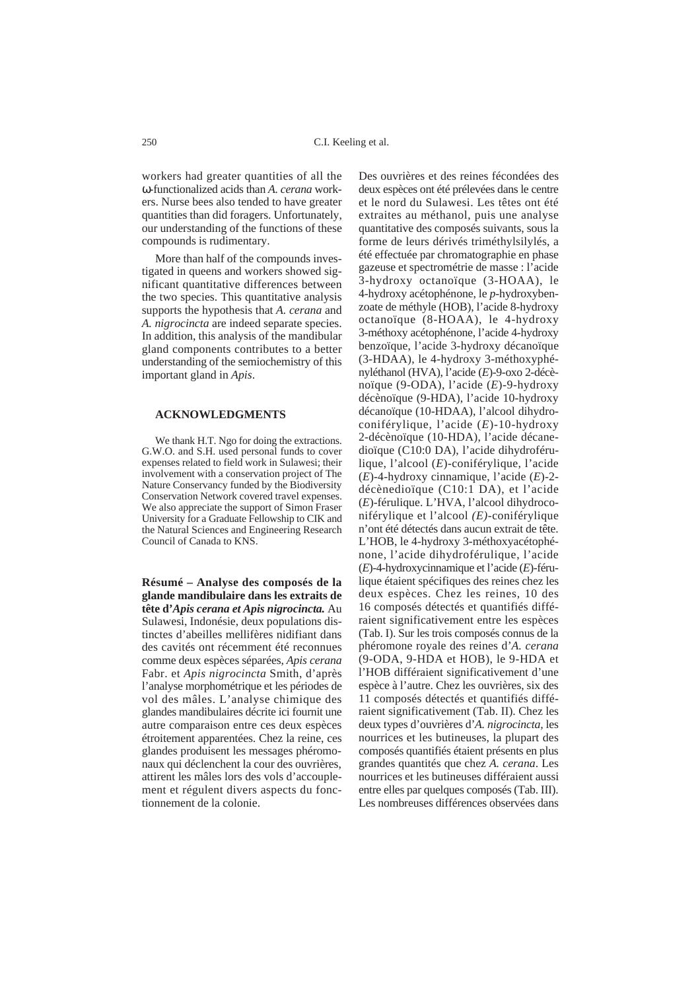workers had greater quantities of all the ω-functionalized acids than *A. cerana* workers. Nurse bees also tended to have greater quantities than did foragers. Unfortunately, our understanding of the functions of these compounds is rudimentary.

More than half of the compounds investigated in queens and workers showed significant quantitative differences between the two species. This quantitative analysis supports the hypothesis that *A. cerana* and *A. nigrocincta* are indeed separate species. In addition, this analysis of the mandibular gland components contributes to a better understanding of the semiochemistry of this important gland in *Apis*.

# **ACKNOWLEDGMENTS**

We thank H.T. Ngo for doing the extractions. G.W.O. and S.H. used personal funds to cover expenses related to field work in Sulawesi; their involvement with a conservation project of The Nature Conservancy funded by the Biodiversity Conservation Network covered travel expenses. We also appreciate the support of Simon Fraser University for a Graduate Fellowship to CIK and the Natural Sciences and Engineering Research Council of Canada to KNS.

**Résumé – Analyse des composés de la glande mandibulaire dans les extraits de tête d'***Apis cerana et Apis nigrocincta.* Au Sulawesi, Indonésie, deux populations distinctes d'abeilles mellifères nidifiant dans des cavités ont récemment été reconnues comme deux espèces séparées, *Apis cerana* Fabr. et *Apis nigrocincta* Smith, d'après l'analyse morphométrique et les périodes de vol des mâles. L'analyse chimique des glandes mandibulaires décrite ici fournit une autre comparaison entre ces deux espèces étroitement apparentées. Chez la reine, ces glandes produisent les messages phéromonaux qui déclenchent la cour des ouvrières, attirent les mâles lors des vols d'accouplement et régulent divers aspects du fonctionnement de la colonie.

Des ouvrières et des reines fécondées des deux espèces ont été prélevées dans le centre et le nord du Sulawesi. Les têtes ont été extraites au méthanol, puis une analyse quantitative des composés suivants, sous la forme de leurs dérivés triméthylsilylés, a été effectuée par chromatographie en phase gazeuse et spectrométrie de masse : l'acide 3-hydroxy octanoïque (3-HOAA), le 4-hydroxy acétophénone, le *p*-hydroxybenzoate de méthyle (HOB), l'acide 8-hydroxy octanoïque (8-HOAA), le 4-hydroxy 3-méthoxy acétophénone, l'acide 4-hydroxy benzoïque, l'acide 3-hydroxy décanoïque (3-HDAA), le 4-hydroxy 3-méthoxyphényléthanol (HVA), l'acide (*E*)-9-oxo 2-décènoïque (9-ODA), l'acide (*E*)-9-hydroxy décènoïque (9-HDA), l'acide 10-hydroxy décanoïque (10-HDAA), l'alcool dihydroconiférylique, l'acide (*E*)-10-hydroxy 2-décènoïque (10-HDA), l'acide décanedioïque (C10:0 DA), l'acide dihydroférulique, l'alcool (*E*)-coniférylique, l'acide (*E*)-4-hydroxy cinnamique, l'acide (*E*)-2 décènedioïque (C10:1 DA), et l'acide (*E*)-férulique. L'HVA, l'alcool dihydroconiférylique et l'alcool *(E)*-coniférylique n'ont été détectés dans aucun extrait de tête. L'HOB, le 4-hydroxy 3-méthoxyacétophénone, l'acide dihydroférulique, l'acide (*E*)-4-hydroxycinnamique et l'acide (*E*)-férulique étaient spécifiques des reines chez les deux espèces. Chez les reines, 10 des 16 composés détectés et quantifiés différaient significativement entre les espèces (Tab. I). Sur les trois composés connus de la phéromone royale des reines d'*A. cerana* (9-ODA, 9-HDA et HOB), le 9-HDA et l'HOB différaient significativement d'une espèce à l'autre. Chez les ouvrières, six des 11 composés détectés et quantifiés différaient significativement (Tab. II). Chez les deux types d'ouvrières d'*A. nigrocincta,* les nourrices et les butineuses, la plupart des composés quantifiés étaient présents en plus grandes quantités que chez *A. cerana*. Les nourrices et les butineuses différaient aussi entre elles par quelques composés (Tab. III). Les nombreuses différences observées dans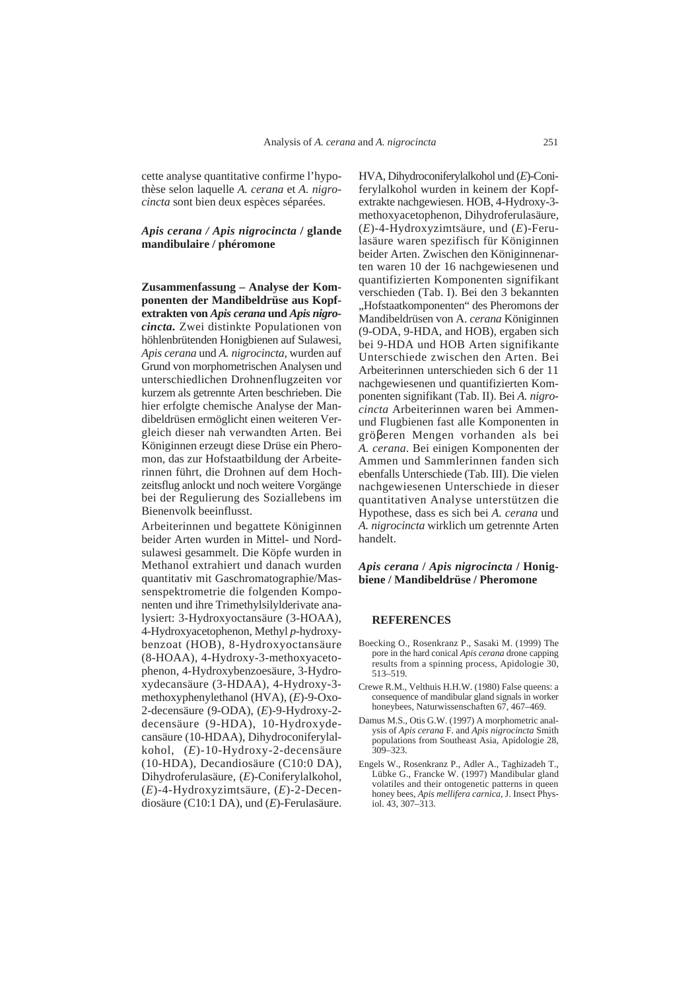cette analyse quantitative confirme l'hypothèse selon laquelle *A. cerana* et *A. nigrocincta* sont bien deux espèces séparées.

# *Apis cerana / Apis nigrocincta* **/ glande mandibulaire / phéromone**

**Zusammenfassung – Analyse der Komponenten der Mandibeldrüse aus Kopfextrakten von** *Apis cerana* **und** *Apis nigrocincta.* Zwei distinkte Populationen von höhlenbrütenden Honigbienen auf Sulawesi, *Apis cerana* und *A. nigrocincta,* wurden auf Grund von morphometrischen Analysen und unterschiedlichen Drohnenflugzeiten vor kurzem als getrennte Arten beschrieben. Die hier erfolgte chemische Analyse der Mandibeldrüsen ermöglicht einen weiteren Vergleich dieser nah verwandten Arten. Bei Königinnen erzeugt diese Drüse ein Pheromon, das zur Hofstaatbildung der Arbeiterinnen führt, die Drohnen auf dem Hochzeitsflug anlockt und noch weitere Vorgänge bei der Regulierung des Soziallebens im Bienenvolk beeinflusst.

Arbeiterinnen und begattete Königinnen beider Arten wurden in Mittel- und Nordsulawesi gesammelt. Die Köpfe wurden in Methanol extrahiert und danach wurden quantitativ mit Gaschromatographie/Massenspektrometrie die folgenden Komponenten und ihre Trimethylsilylderivate analysiert: 3-Hydroxyoctansäure (3-HOAA), 4-Hydroxyacetophenon, Methyl *p*-hydroxybenzoat (HOB), 8-Hydroxyoctansäure (8-HOAA), 4-Hydroxy-3-methoxyacetophenon, 4-Hydroxybenzoesäure, 3-Hydroxydecansäure (3-HDAA), 4-Hydroxy-3 methoxyphenylethanol (HVA), (*E*)-9-Oxo-2-decensäure (9-ODA), (*E*)-9-Hydroxy-2 decensäure (9-HDA), 10-Hydroxydecansäure (10-HDAA), Dihydroconiferylalkohol, (*E*)-10-Hydroxy-2-decensäure (10-HDA), Decandiosäure (C10:0 DA), Dihydroferulasäure, (*E*)-Coniferylalkohol, (*E*)-4-Hydroxyzimtsäure, (*E*)-2-Decendiosäure (C10:1 DA), und (*E*)-Ferulasäure.

HVA, Dihydroconiferylalkohol und (*E*)-Coniferylalkohol wurden in keinem der Kopfextrakte nachgewiesen. HOB, 4-Hydroxy-3 methoxyacetophenon, Dihydroferulasäure, (*E*)-4-Hydroxyzimtsäure, und (*E*)-Ferulasäure waren spezifisch für Königinnen beider Arten. Zwischen den Königinnenarten waren 10 der 16 nachgewiesenen und quantifizierten Komponenten signifikant verschieden (Tab. I). Bei den 3 bekannten "Hofstaatkomponenten" des Pheromons der Mandibeldrüsen von A. *cerana* Königinnen (9-ODA, 9-HDA, and HOB), ergaben sich bei 9-HDA und HOB Arten signifikante Unterschiede zwischen den Arten. Bei Arbeiterinnen unterschieden sich 6 der 11 nachgewiesenen und quantifizierten Komponenten signifikant (Tab. II). Bei *A. nigrocincta* Arbeiterinnen waren bei Ammenund Flugbienen fast alle Komponenten in gröβeren Mengen vorhanden als bei *A. cerana*. Bei einigen Komponenten der Ammen und Sammlerinnen fanden sich ebenfalls Unterschiede (Tab. III). Die vielen nachgewiesenen Unterschiede in dieser quantitativen Analyse unterstützen die Hypothese, dass es sich bei *A. cerana* und *A. nigrocincta* wirklich um getrennte Arten handelt.

# *Apis cerana* **/** *Apis nigrocincta* **/ Honigbiene / Mandibeldrüse / Pheromone**

#### **REFERENCES**

- Boecking O., Rosenkranz P., Sasaki M. (1999) The pore in the hard conical *Apis cerana* drone capping results from a spinning process, Apidologie 30, 513–519.
- Crewe R.M., Velthuis H.H.W. (1980) False queens: a consequence of mandibular gland signals in worker honeybees, Naturwissenschaften 67, 467–469.
- Damus M.S., Otis G.W. (1997) A morphometric analysis of *Apis cerana* F. and *Apis nigrocincta* Smith populations from Southeast Asia, Apidologie 28,  $309 - 323$ .
- Engels W., Rosenkranz P., Adler A., Taghizadeh T., Lübke G., Francke W. (1997) Mandibular gland volatiles and their ontogenetic patterns in queen honey bees, *Apis mellifera carnica*, J. Insect Physiol. 43, 307–313.